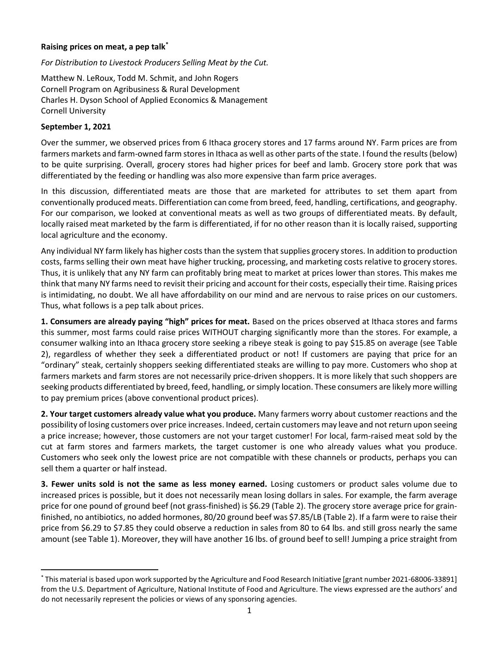## Raising prices on meat, a pep talk\*

## For Distribution to Livestock Producers Selling Meat by the Cut.

Matthew N. LeRoux, Todd M. Schmit, and John Rogers Cornell Program on Agribusiness & Rural Development Charles H. Dyson School of Applied Economics & Management Cornell University

## September 1, 2021

Over the summer, we observed prices from 6 Ithaca grocery stores and 17 farms around NY. Farm prices are from farmers markets and farm-owned farm stores in Ithaca as well as other parts of the state. I found the results (below) to be quite surprising. Overall, grocery stores had higher prices for beef and lamb. Grocery store pork that was differentiated by the feeding or handling was also more expensive than farm price averages.

In this discussion, differentiated meats are those that are marketed for attributes to set them apart from conventionally produced meats. Differentiation can come from breed, feed, handling, certifications, and geography. For our comparison, we looked at conventional meats as well as two groups of differentiated meats. By default, locally raised meat marketed by the farm is differentiated, if for no other reason than it is locally raised, supporting local agriculture and the economy.

Any individual NY farm likely has higher costs than the system that supplies grocery stores. In addition to production costs, farms selling their own meat have higher trucking, processing, and marketing costs relative to grocery stores. Thus, it is unlikely that any NY farm can profitably bring meat to market at prices lower than stores. This makes me think that many NY farms need to revisit their pricing and account for their costs, especially their time. Raising prices is intimidating, no doubt. We all have affordability on our mind and are nervous to raise prices on our customers. Thus, what follows is a pep talk about prices.

1. Consumers are already paying "high" prices for meat. Based on the prices observed at Ithaca stores and farms this summer, most farms could raise prices WITHOUT charging significantly more than the stores. For example, a consumer walking into an Ithaca grocery store seeking a ribeye steak is going to pay \$15.85 on average (see Table 2), regardless of whether they seek a differentiated product or not! If customers are paying that price for an "ordinary" steak, certainly shoppers seeking differentiated steaks are willing to pay more. Customers who shop at farmers markets and farm stores are not necessarily price-driven shoppers. It is more likely that such shoppers are seeking products differentiated by breed, feed, handling, or simply location. These consumers are likely more willing to pay premium prices (above conventional product prices).

2. Your target customers already value what you produce. Many farmers worry about customer reactions and the possibility of losing customers over price increases. Indeed, certain customers may leave and not return upon seeing a price increase; however, those customers are not your target customer! For local, farm-raised meat sold by the cut at farm stores and farmers markets, the target customer is one who already values what you produce. Customers who seek only the lowest price are not compatible with these channels or products, perhaps you can sell them a quarter or half instead.

3. Fewer units sold is not the same as less money earned. Losing customers or product sales volume due to increased prices is possible, but it does not necessarily mean losing dollars in sales. For example, the farm average price for one pound of ground beef (not grass-finished) is \$6.29 (Table 2). The grocery store average price for grainfinished, no antibiotics, no added hormones, 80/20 ground beef was \$7.85/LB (Table 2). If a farm were to raise their price from \$6.29 to \$7.85 they could observe a reduction in sales from 80 to 64 lbs. and still gross nearly the same amount (see Table 1). Moreover, they will have another 16 lbs. of ground beef to sell! Jumping a price straight from

<sup>\*</sup> This material is based upon work supported by the Agriculture and Food Research Initiative [grant number 2021-68006-33891] from the U.S. Department of Agriculture, National Institute of Food and Agriculture. The views expressed are the authors' and do not necessarily represent the policies or views of any sponsoring agencies.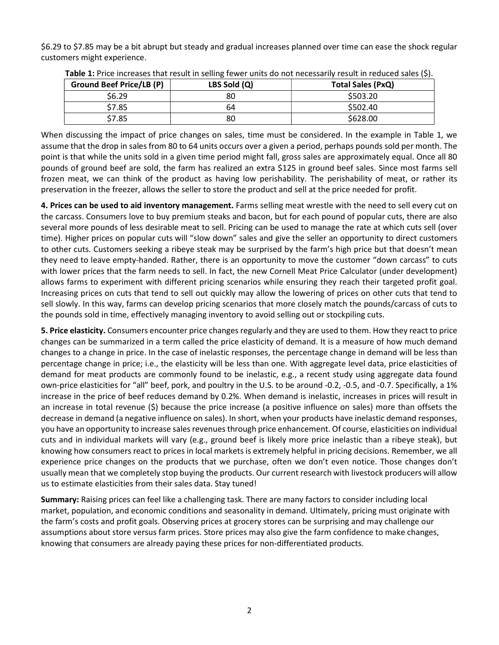\$6.29 to \$7.85 may be a bit abrupt but steady and gradual increases planned over time can ease the shock regular customers might experience.

| <b>Ground Beef Price/LB (P)</b> | LBS Sold (Q) | Total Sales (PxQ) |
|---------------------------------|--------------|-------------------|
| \$6.29                          | 80           | \$503.20          |
| \$7.85                          | 64           | \$502.40          |
| \$7.85                          | 80           | \$628.00          |

Table 1: Price increases that result in selling fewer units do not necessarily result in reduced sales (\$).

When discussing the impact of price changes on sales, time must be considered. In the example in Table 1, we assume that the drop in sales from 80 to 64 units occurs over a given a period, perhaps pounds sold per month. The point is that while the units sold in a given time period might fall, gross sales are approximately equal. Once all 80 pounds of ground beef are sold, the farm has realized an extra \$125 in ground beef sales. Since most farms sell frozen meat, we can think of the product as having low perishability. The perishability of meat, or rather its preservation in the freezer, allows the seller to store the product and sell at the price needed for profit.

4. Prices can be used to aid inventory management. Farms selling meat wrestle with the need to sell every cut on the carcass. Consumers love to buy premium steaks and bacon, but for each pound of popular cuts, there are also several more pounds of less desirable meat to sell. Pricing can be used to manage the rate at which cuts sell (over time). Higher prices on popular cuts will "slow down" sales and give the seller an opportunity to direct customers to other cuts. Customers seeking a ribeye steak may be surprised by the farm's high price but that doesn't mean they need to leave empty-handed. Rather, there is an opportunity to move the customer "down carcass" to cuts with lower prices that the farm needs to sell. In fact, the new Cornell Meat Price Calculator (under development) allows farms to experiment with different pricing scenarios while ensuring they reach their targeted profit goal. Increasing prices on cuts that tend to sell out quickly may allow the lowering of prices on other cuts that tend to sell slowly. In this way, farms can develop pricing scenarios that more closely match the pounds/carcass of cuts to the pounds sold in time, effectively managing inventory to avoid selling out or stockpiling cuts.

5. Price elasticity. Consumers encounter price changes regularly and they are used to them. How they react to price changes can be summarized in a term called the price elasticity of demand. It is a measure of how much demand changes to a change in price. In the case of inelastic responses, the percentage change in demand will be less than percentage change in price; i.e., the elasticity will be less than one. With aggregate level data, price elasticities of demand for meat products are commonly found to be inelastic, e.g., a recent study using aggregate data found own-price elasticities for "all" beef, pork, and poultry in the U.S. to be around -0.2, -0.5, and -0.7. Specifically, a 1% increase in the price of beef reduces demand by 0.2%. When demand is inelastic, increases in prices will result in an increase in total revenue (\$) because the price increase (a positive influence on sales) more than offsets the decrease in demand (a negative influence on sales). In short, when your products have inelastic demand responses, you have an opportunity to increase sales revenues through price enhancement. Of course, elasticities on individual cuts and in individual markets will vary (e.g., ground beef is likely more price inelastic than a ribeye steak), but knowing how consumers react to prices in local markets is extremely helpful in pricing decisions. Remember, we all experience price changes on the products that we purchase, often we don't even notice. Those changes don't usually mean that we completely stop buying the products. Our current research with livestock producers will allow us to estimate elasticities from their sales data. Stay tuned!

Summary: Raising prices can feel like a challenging task. There are many factors to consider including local market, population, and economic conditions and seasonality in demand. Ultimately, pricing must originate with the farm's costs and profit goals. Observing prices at grocery stores can be surprising and may challenge our assumptions about store versus farm prices. Store prices may also give the farm confidence to make changes, knowing that consumers are already paying these prices for non-differentiated products.